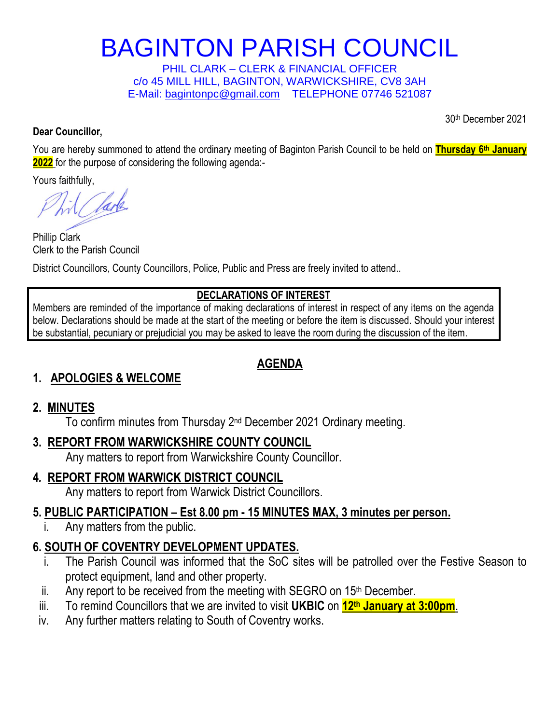# BAGINTON PARISH COUNCIL

PHIL CLARK – CLERK & FINANCIAL OFFICER c/o 45 MILL HILL, BAGINTON, WARWICKSHIRE, CV8 3AH E-Mail: [bagintonpc@gmail.com](about:blank) TELEPHONE 07746 521087

30th December 2021

#### **Dear Councillor,**

You are hereby summoned to attend the ordinary meeting of Baginton Parish Council to be held on **Thursday 6 th January 2022** for the purpose of considering the following agenda:-

Yours faithfully,

larla

Phillip Clark Clerk to the Parish Council

District Councillors, County Councillors, Police, Public and Press are freely invited to attend..

#### **DECLARATIONS OF INTEREST**

Members are reminded of the importance of making declarations of interest in respect of any items on the agenda below. Declarations should be made at the start of the meeting or before the item is discussed. Should your interest be substantial, pecuniary or prejudicial you may be asked to leave the room during the discussion of the item.

#### **AGENDA**

#### **1. APOLOGIES & WELCOME**

#### **2. MINUTES**

To confirm minutes from Thursday 2<sup>nd</sup> December 2021 Ordinary meeting.

#### **3. REPORT FROM WARWICKSHIRE COUNTY COUNCIL**

Any matters to report from Warwickshire County Councillor.

## **4***.* **REPORT FROM WARWICK DISTRICT COUNCIL**

Any matters to report from Warwick District Councillors.

#### **5. PUBLIC PARTICIPATION – Est 8.00 pm - 15 MINUTES MAX, 3 minutes per person.**

i. Any matters from the public.

# **6. SOUTH OF COVENTRY DEVELOPMENT UPDATES.**

- i. The Parish Council was informed that the SoC sites will be patrolled over the Festive Season to protect equipment, land and other property.
- ii. Any report to be received from the meeting with SEGRO on  $15<sup>th</sup>$  December.
- iii. To remind Councillors that we are invited to visit **UKBIC** on **12th January at 3:00pm**.
- iv. Any further matters relating to South of Coventry works.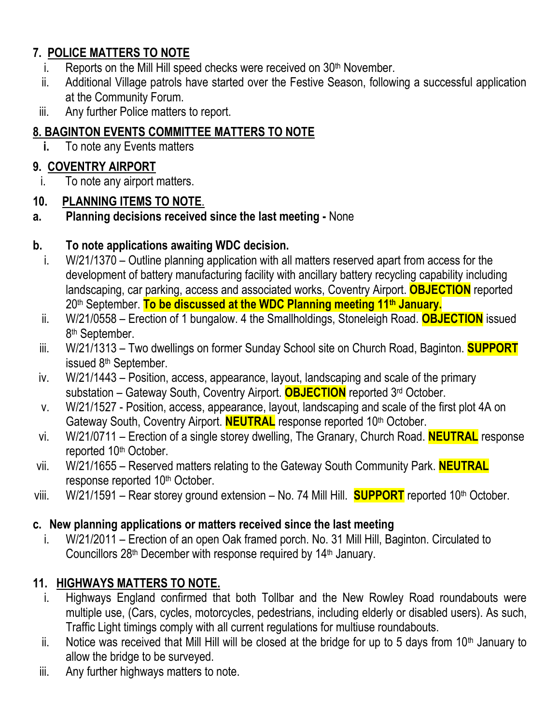## **7. POLICE MATTERS TO NOTE**

- i. Reports on the Mill Hill speed checks were received on  $30<sup>th</sup>$  November.
- ii. Additional Village patrols have started over the Festive Season, following a successful application at the Community Forum.
- iii. Any further Police matters to report.

## **8. BAGINTON EVENTS COMMITTEE MATTERS TO NOTE**

**i.** To note any Events matters

## **9. COVENTRY AIRPORT**

i. To note any airport matters.

#### **10. PLANNING ITEMS TO NOTE**.

**a. Planning decisions received since the last meeting -** None

#### **b. To note applications awaiting WDC decision.**

- i. W/21/1370 Outline planning application with all matters reserved apart from access for the development of battery manufacturing facility with ancillary battery recycling capability including landscaping, car parking, access and associated works, Coventry Airport. **OBJECTION** reported 20th September. **To be discussed at the WDC Planning meeting 11th January.**
- ii. W/21/0558 Erection of 1 bungalow. 4 the Smallholdings, Stoneleigh Road. **OBJECTION** issued 8<sup>th</sup> September.
- iii. W/21/1313 Two dwellings on former Sunday School site on Church Road, Baginton. **SUPPORT** issued 8th September.
- iv. W/21/1443 Position, access, appearance, layout, landscaping and scale of the primary substation – Gateway South, Coventry Airport. **OBJECTION** reported 3rd October.
- v. W/21/1527 Position, access, appearance, layout, landscaping and scale of the first plot 4A on Gateway South, Coventry Airport. **NEUTRAL** response reported 10<sup>th</sup> October.
- vi. W/21/0711 Erection of a single storey dwelling, The Granary, Church Road. **NEUTRAL** response reported 10<sup>th</sup> October.
- vii. W/21/1655 Reserved matters relating to the Gateway South Community Park. **NEUTRAL** response reported 10<sup>th</sup> October.
- viii. W/21/1591 Rear storey ground extension No. 74 Mill Hill. **SUPPORT** reported 10<sup>th</sup> October.

## **c. New planning applications or matters received since the last meeting**

i. W/21/2011 – Erection of an open Oak framed porch. No. 31 Mill Hill, Baginton. Circulated to Councillors 28<sup>th</sup> December with response required by 14<sup>th</sup> January.

## **11. HIGHWAYS MATTERS TO NOTE.**

- i. Highways England confirmed that both Tollbar and the New Rowley Road roundabouts were multiple use, (Cars, cycles, motorcycles, pedestrians, including elderly or disabled users). As such, Traffic Light timings comply with all current regulations for multiuse roundabouts.
- ii. Notice was received that Mill Hill will be closed at the bridge for up to 5 days from  $10<sup>th</sup>$  January to allow the bridge to be surveyed.
- iii. Any further highways matters to note.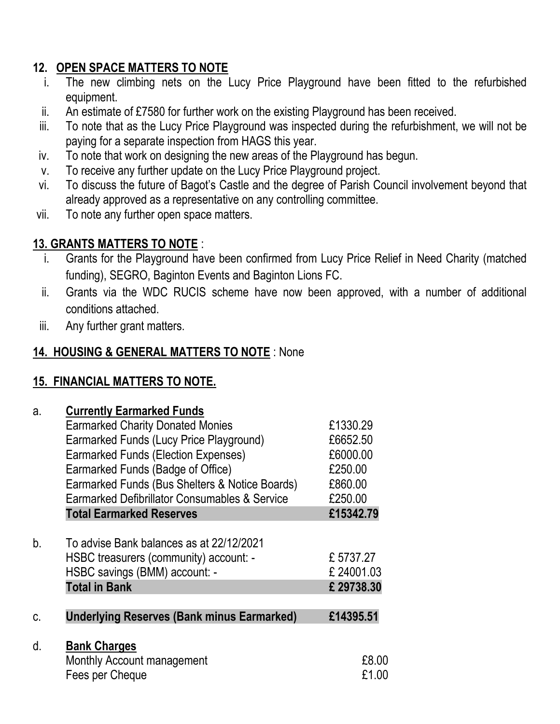## **12. OPEN SPACE MATTERS TO NOTE**

- i. The new climbing nets on the Lucy Price Playground have been fitted to the refurbished equipment.
- ii. An estimate of £7580 for further work on the existing Playground has been received.
- iii. To note that as the Lucy Price Playground was inspected during the refurbishment, we will not be paying for a separate inspection from HAGS this year.
- iv. To note that work on designing the new areas of the Playground has begun.
- v. To receive any further update on the Lucy Price Playground project.
- vi. To discuss the future of Bagot's Castle and the degree of Parish Council involvement beyond that already approved as a representative on any controlling committee.
- vii. To note any further open space matters.

## **13. GRANTS MATTERS TO NOTE** :

- i. Grants for the Playground have been confirmed from Lucy Price Relief in Need Charity (matched funding), SEGRO, Baginton Events and Baginton Lions FC.
- ii. Grants via the WDC RUCIS scheme have now been approved, with a number of additional conditions attached.
- iii. Any further grant matters.

## **14. HOUSING & GENERAL MATTERS TO NOTE** : None

## **15. FINANCIAL MATTERS TO NOTE.**

| a.          | <b>Currently Earmarked Funds</b>                  |           |
|-------------|---------------------------------------------------|-----------|
|             | <b>Earmarked Charity Donated Monies</b>           | £1330.29  |
|             | Earmarked Funds (Lucy Price Playground)           | £6652.50  |
|             | <b>Earmarked Funds (Election Expenses)</b>        | £6000.00  |
|             | Earmarked Funds (Badge of Office)                 | £250.00   |
|             | Earmarked Funds (Bus Shelters & Notice Boards)    | £860.00   |
|             | Earmarked Defibrillator Consumables & Service     | £250.00   |
|             | <b>Total Earmarked Reserves</b>                   | £15342.79 |
|             |                                                   |           |
| $b_{\cdot}$ | To advise Bank balances as at 22/12/2021          |           |
|             | HSBC treasurers (community) account: -            | £5737.27  |
|             | HSBC savings (BMM) account: -                     | £24001.03 |
|             | <b>Total in Bank</b>                              | £29738.30 |
|             |                                                   |           |
| C.          | <b>Underlying Reserves (Bank minus Earmarked)</b> | £14395.51 |
|             |                                                   |           |
| d.          | <b>Bank Charges</b>                               |           |
|             | Monthly Account management                        | £8.00     |
|             | Fees per Cheque                                   | £1.00     |
|             |                                                   |           |